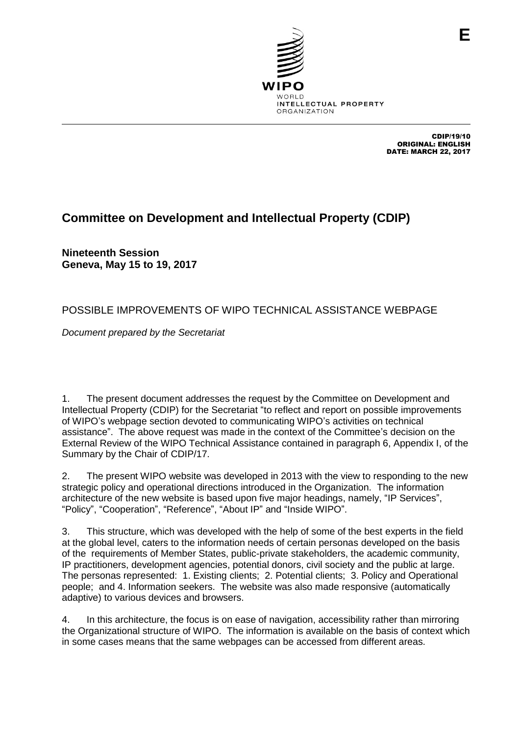

CDIP/19/10 ORIGINAL: ENGLISH DATE: MARCH 22, 2017

**E**

## **Committee on Development and Intellectual Property (CDIP)**

**Nineteenth Session Geneva, May 15 to 19, 2017**

## POSSIBLE IMPROVEMENTS OF WIPO TECHNICAL ASSISTANCE WEBPAGE

*Document prepared by the Secretariat*

1. The present document addresses the request by the Committee on Development and Intellectual Property (CDIP) for the Secretariat "to reflect and report on possible improvements of WIPO's webpage section devoted to communicating WIPO's activities on technical assistance". The above request was made in the context of the Committee's decision on the External Review of the WIPO Technical Assistance contained in paragraph 6, Appendix I, of the Summary by the Chair of CDIP/17.

2. The present WIPO website was developed in 2013 with the view to responding to the new strategic policy and operational directions introduced in the Organization. The information architecture of the new website is based upon five major headings, namely, "IP Services", "Policy", "Cooperation", "Reference", "About IP" and "Inside WIPO".

3. This structure, which was developed with the help of some of the best experts in the field at the global level, caters to the information needs of certain personas developed on the basis of the requirements of Member States, public-private stakeholders, the academic community, IP practitioners, development agencies, potential donors, civil society and the public at large. The personas represented: 1. Existing clients; 2. Potential clients; 3. Policy and Operational people; and 4. Information seekers. The website was also made responsive (automatically adaptive) to various devices and browsers.

4. In this architecture, the focus is on ease of navigation, accessibility rather than mirroring the Organizational structure of WIPO. The information is available on the basis of context which in some cases means that the same webpages can be accessed from different areas.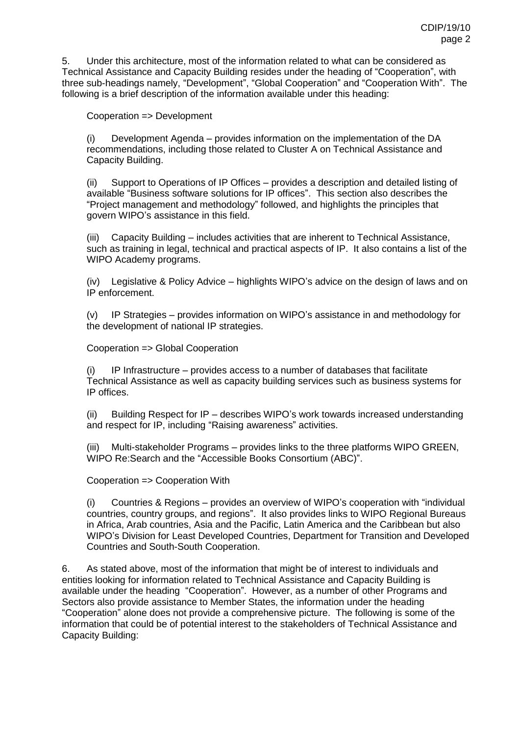5. Under this architecture, most of the information related to what can be considered as Technical Assistance and Capacity Building resides under the heading of "Cooperation", with three sub-headings namely, "Development", "Global Cooperation" and "Cooperation With". The following is a brief description of the information available under this heading:

Cooperation => Development

(i) Development Agenda – provides information on the implementation of the DA recommendations, including those related to Cluster A on Technical Assistance and Capacity Building.

(ii) Support to Operations of IP Offices – provides a description and detailed listing of available "Business software solutions for IP offices". This section also describes the "Project management and methodology" followed, and highlights the principles that govern WIPO's assistance in this field.

(iii) Capacity Building – includes activities that are inherent to Technical Assistance, such as training in legal, technical and practical aspects of IP. It also contains a list of the WIPO Academy programs.

(iv) Legislative & Policy Advice – highlights WIPO's advice on the design of laws and on IP enforcement.

(v) IP Strategies – provides information on WIPO's assistance in and methodology for the development of national IP strategies.

Cooperation => Global Cooperation

 $IP$  Infrastructure – provides access to a number of databases that facilitate Technical Assistance as well as capacity building services such as business systems for IP offices.

(ii) Building Respect for IP – describes WIPO's work towards increased understanding and respect for IP, including "Raising awareness" activities.

(iii) Multi-stakeholder Programs – provides links to the three platforms WIPO GREEN, WIPO Re:Search and the "Accessible Books Consortium (ABC)".

Cooperation => Cooperation With

(i) Countries & Regions – provides an overview of WIPO's cooperation with "individual countries, country groups, and regions". It also provides links to WIPO Regional Bureaus in Africa, Arab countries, Asia and the Pacific, Latin America and the Caribbean but also WIPO's Division for Least Developed Countries, Department for Transition and Developed Countries and South-South Cooperation.

6. As stated above, most of the information that might be of interest to individuals and entities looking for information related to Technical Assistance and Capacity Building is available under the heading "Cooperation". However, as a number of other Programs and Sectors also provide assistance to Member States, the information under the heading "Cooperation" alone does not provide a comprehensive picture. The following is some of the information that could be of potential interest to the stakeholders of Technical Assistance and Capacity Building: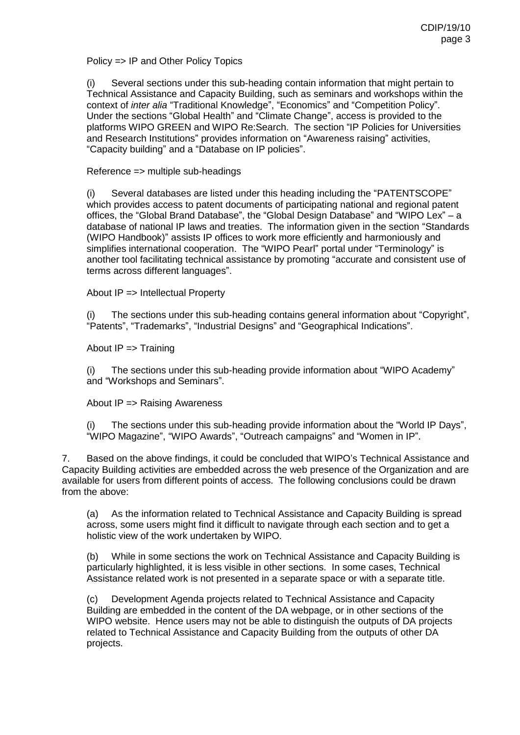Policy => IP and Other Policy Topics

(i) Several sections under this sub-heading contain information that might pertain to Technical Assistance and Capacity Building, such as seminars and workshops within the context of *inter alia* "Traditional Knowledge", "Economics" and "Competition Policy". Under the sections "Global Health" and "Climate Change", access is provided to the platforms WIPO GREEN and WIPO Re:Search. The section "IP Policies for Universities and Research Institutions" provides information on "Awareness raising" activities, "Capacity building" and a "Database on IP policies".

## Reference => multiple sub-headings

(i) Several databases are listed under this heading including the "PATENTSCOPE" which provides access to patent documents of participating national and regional patent offices, the "Global Brand Database", the "Global Design Database" and "WIPO Lex" – a database of national IP laws and treaties. The information given in the section "Standards (WIPO Handbook)" assists IP offices to work more efficiently and harmoniously and simplifies international cooperation. The "WIPO Pearl" portal under "Terminology" is another tool facilitating technical assistance by promoting "accurate and consistent use of terms across different languages".

About IP => Intellectual Property

(i) The sections under this sub-heading contains general information about "Copyright", "Patents", "Trademarks", "Industrial Designs" and "Geographical Indications".

About IP => Training

(i) The sections under this sub-heading provide information about "WIPO Academy" and "Workshops and Seminars".

About IP => Raising Awareness

(i) The sections under this sub-heading provide information about the "World IP Days", "WIPO Magazine", "WIPO Awards", "Outreach campaigns" and "Women in IP".

7. Based on the above findings, it could be concluded that WIPO's Technical Assistance and Capacity Building activities are embedded across the web presence of the Organization and are available for users from different points of access. The following conclusions could be drawn from the above:

(a) As the information related to Technical Assistance and Capacity Building is spread across, some users might find it difficult to navigate through each section and to get a holistic view of the work undertaken by WIPO.

(b) While in some sections the work on Technical Assistance and Capacity Building is particularly highlighted, it is less visible in other sections. In some cases, Technical Assistance related work is not presented in a separate space or with a separate title.

(c) Development Agenda projects related to Technical Assistance and Capacity Building are embedded in the content of the DA webpage, or in other sections of the WIPO website. Hence users may not be able to distinguish the outputs of DA projects related to Technical Assistance and Capacity Building from the outputs of other DA projects.